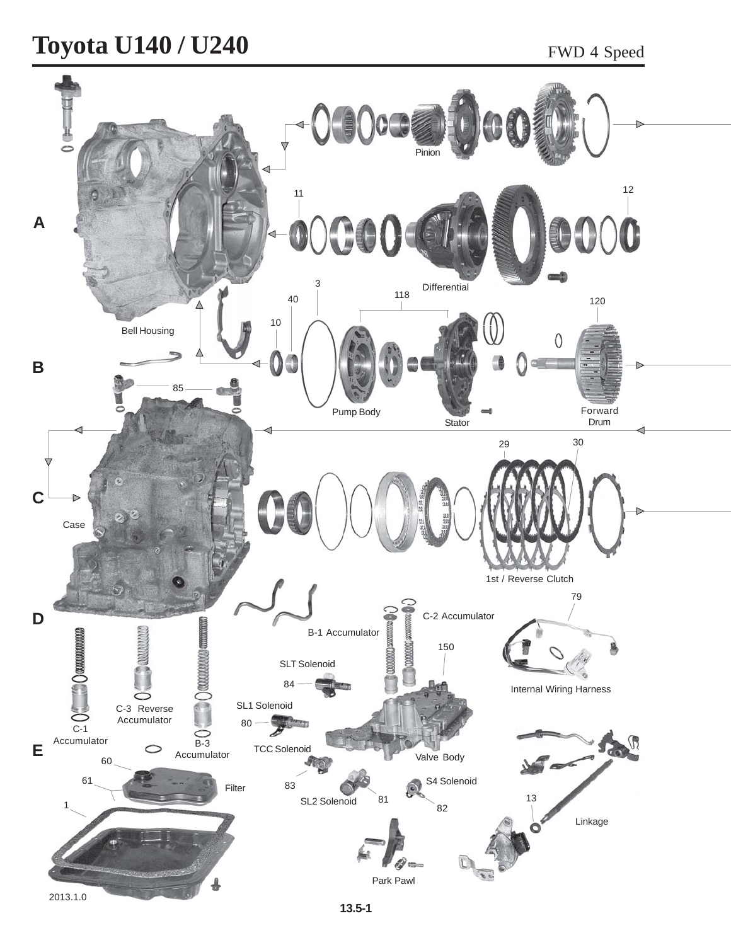#### Toyota U140 / U240 FWD 4 Speed

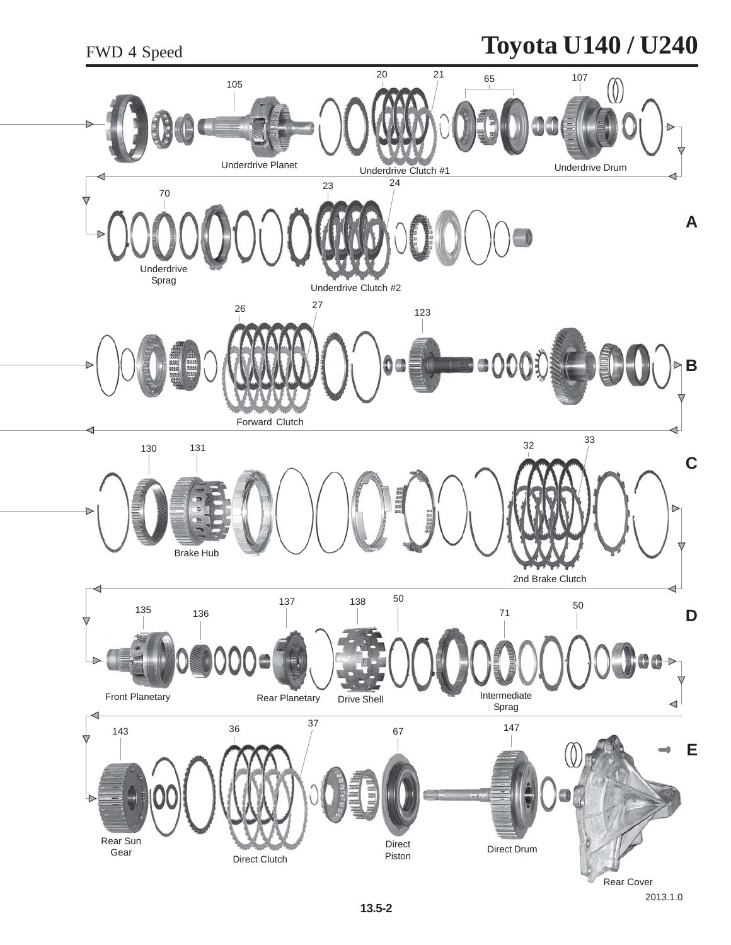#### **Toyota U140 / U240**

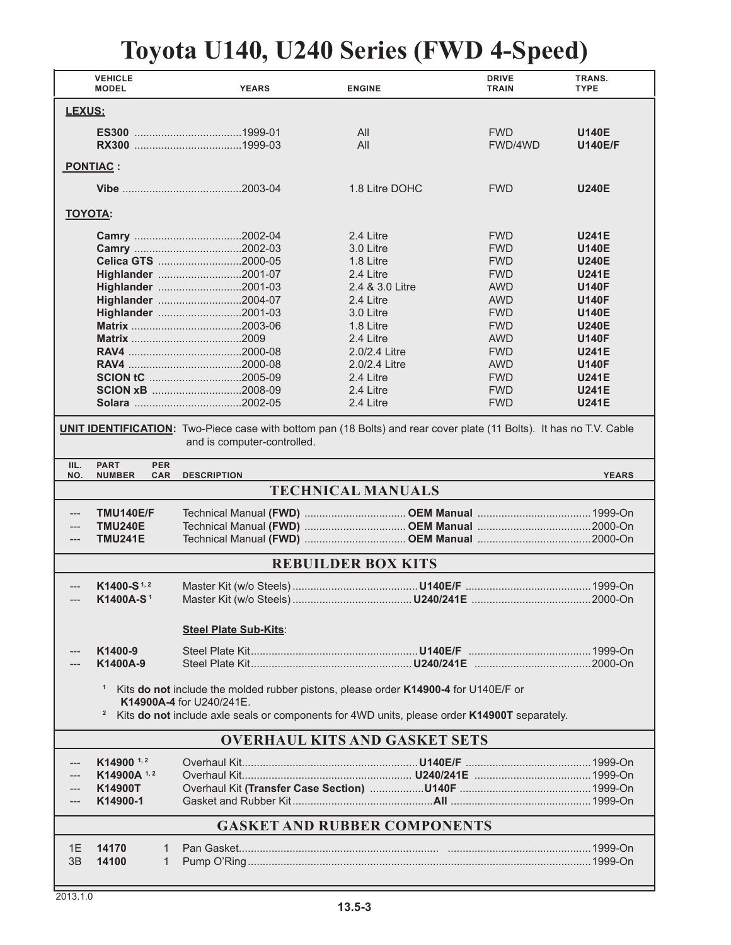# **Toyota U140, U240 Series (FWD 4-Speed)**

| <b>VEHICLE</b><br><b>MODEL</b>                                                                                                                                                                                                                  | <b>YEARS</b>                 | <b>ENGINE</b>             | <b>DRIVE</b><br><b>TRAIN</b> | TRANS.<br><b>TYPE</b> |  |
|-------------------------------------------------------------------------------------------------------------------------------------------------------------------------------------------------------------------------------------------------|------------------------------|---------------------------|------------------------------|-----------------------|--|
| LEXUS:                                                                                                                                                                                                                                          |                              |                           |                              |                       |  |
|                                                                                                                                                                                                                                                 |                              | All                       | <b>FWD</b>                   | <b>U140E</b>          |  |
|                                                                                                                                                                                                                                                 |                              | All                       | FWD/4WD                      | <b>U140E/F</b>        |  |
| PONTIAC :                                                                                                                                                                                                                                       |                              |                           |                              |                       |  |
|                                                                                                                                                                                                                                                 |                              | 1.8 Litre DOHC            | <b>FWD</b>                   | <b>U240E</b>          |  |
| <b>TOYOTA:</b>                                                                                                                                                                                                                                  |                              |                           |                              |                       |  |
|                                                                                                                                                                                                                                                 |                              | 2.4 Litre                 | <b>FWD</b>                   | <b>U241E</b>          |  |
|                                                                                                                                                                                                                                                 |                              | 3.0 Litre                 | <b>FWD</b>                   | <b>U140E</b>          |  |
|                                                                                                                                                                                                                                                 | Celica GTS 2000-05           | 1.8 Litre                 | <b>FWD</b>                   | <b>U240E</b>          |  |
|                                                                                                                                                                                                                                                 | Highlander 2001-07           | 2.4 Litre                 | <b>FWD</b>                   | <b>U241E</b>          |  |
|                                                                                                                                                                                                                                                 | Highlander 2001-03           | 2.4 & 3.0 Litre           | <b>AWD</b>                   | <b>U140F</b>          |  |
|                                                                                                                                                                                                                                                 | Highlander 2004-07           | 2.4 Litre                 | <b>AWD</b>                   | <b>U140F</b>          |  |
|                                                                                                                                                                                                                                                 | Highlander 2001-03           | 3.0 Litre                 | <b>FWD</b>                   | <b>U140E</b>          |  |
|                                                                                                                                                                                                                                                 |                              | 1.8 Litre                 | <b>FWD</b>                   | <b>U240E</b>          |  |
|                                                                                                                                                                                                                                                 |                              | 2.4 Litre                 | <b>AWD</b>                   | <b>U140F</b>          |  |
|                                                                                                                                                                                                                                                 |                              | 2.0/2.4 Litre             | <b>FWD</b>                   | <b>U241E</b>          |  |
|                                                                                                                                                                                                                                                 |                              | 2.0/2.4 Litre             | <b>AWD</b>                   | <b>U140F</b>          |  |
|                                                                                                                                                                                                                                                 | <b>SCION tC</b> 2005-09      | 2.4 Litre                 | <b>FWD</b>                   | <b>U241E</b>          |  |
|                                                                                                                                                                                                                                                 | SCION xB 2008-09             | 2.4 Litre                 | <b>FWD</b>                   | <b>U241E</b>          |  |
|                                                                                                                                                                                                                                                 |                              | 2.4 Litre                 | <b>FWD</b>                   | <b>U241E</b>          |  |
|                                                                                                                                                                                                                                                 |                              |                           |                              |                       |  |
| <b>UNIT IDENTIFICATION:</b> Two-Piece case with bottom pan (18 Bolts) and rear cover plate (11 Bolts). It has no T.V. Cable<br>and is computer-controlled.                                                                                      |                              |                           |                              |                       |  |
| <b>PART</b><br><b>PER</b><br>IIL.<br>NO.<br><b>NUMBER</b><br><b>CAR</b>                                                                                                                                                                         | <b>DESCRIPTION</b>           |                           |                              | <b>YEARS</b>          |  |
|                                                                                                                                                                                                                                                 |                              | <b>TECHNICAL MANUALS</b>  |                              |                       |  |
| <b>TMU140E/F</b>                                                                                                                                                                                                                                |                              |                           |                              |                       |  |
| <b>TMU240E</b>                                                                                                                                                                                                                                  |                              |                           |                              |                       |  |
| <b>TMU241E</b><br>---                                                                                                                                                                                                                           |                              |                           |                              |                       |  |
|                                                                                                                                                                                                                                                 |                              | <b>REBUILDER BOX KITS</b> |                              |                       |  |
| $K1400-S$ <sup>1,2</sup>                                                                                                                                                                                                                        |                              |                           |                              |                       |  |
| K1400A-S <sup>1</sup>                                                                                                                                                                                                                           |                              |                           |                              |                       |  |
|                                                                                                                                                                                                                                                 |                              |                           |                              |                       |  |
|                                                                                                                                                                                                                                                 | <b>Steel Plate Sub-Kits:</b> |                           |                              |                       |  |
| K1400-9                                                                                                                                                                                                                                         |                              |                           |                              |                       |  |
| K1400A-9                                                                                                                                                                                                                                        |                              |                           |                              |                       |  |
| $\mathbf{1}$<br>Kits do not include the molded rubber pistons, please order K14900-4 for U140E/F or<br>K14900A-4 for U240/241E.<br>Kits do not include axle seals or components for 4WD units, please order K14900T separately.<br>$\mathbf{2}$ |                              |                           |                              |                       |  |
| <b>OVERHAUL KITS AND GASKET SETS</b>                                                                                                                                                                                                            |                              |                           |                              |                       |  |
| $K14900$ <sup>1,2</sup>                                                                                                                                                                                                                         |                              |                           |                              |                       |  |
| K14900A <sup>1,2</sup>                                                                                                                                                                                                                          |                              |                           |                              |                       |  |
| K14900T                                                                                                                                                                                                                                         |                              |                           |                              |                       |  |
| K14900-1                                                                                                                                                                                                                                        |                              |                           |                              |                       |  |
| <b>GASKET AND RUBBER COMPONENTS</b>                                                                                                                                                                                                             |                              |                           |                              |                       |  |
|                                                                                                                                                                                                                                                 |                              |                           |                              |                       |  |
| 1E<br>14170<br>1                                                                                                                                                                                                                                |                              |                           |                              |                       |  |
| 3B<br>14100<br>1                                                                                                                                                                                                                                |                              |                           |                              |                       |  |
|                                                                                                                                                                                                                                                 |                              |                           |                              |                       |  |
|                                                                                                                                                                                                                                                 |                              |                           |                              |                       |  |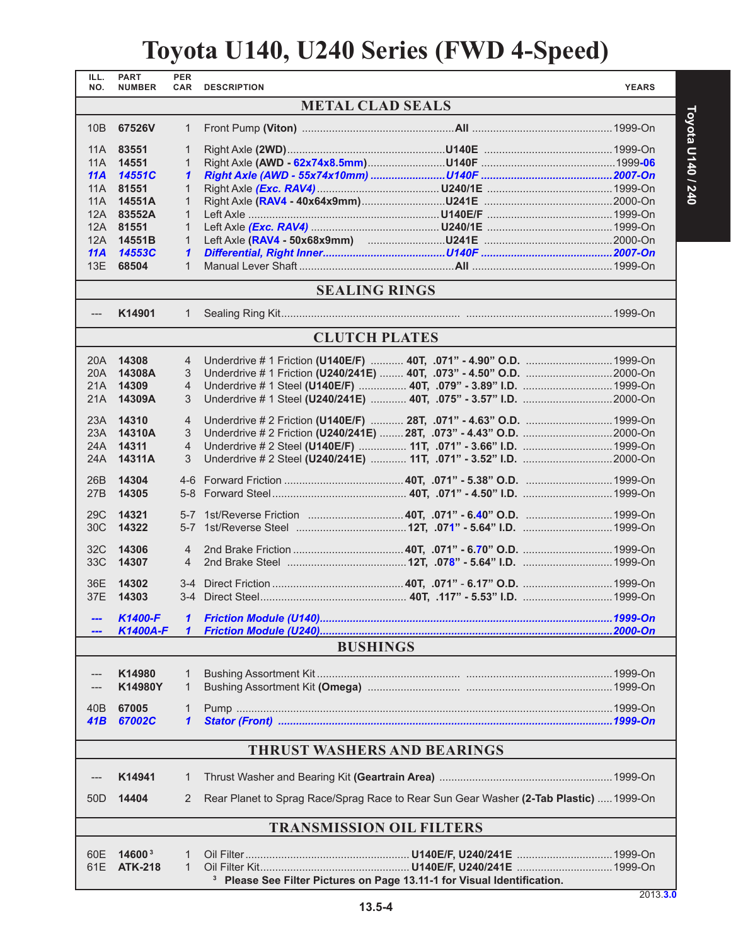# **Toyota U140, U240 Series (FWD 4-Speed)**

| ILL.<br>NO.                     | <b>PART</b><br><b>NUMBER</b>       | <b>PER</b><br>CAR | <b>DESCRIPTION</b>                                                                    | <b>YEARS</b> |  |
|---------------------------------|------------------------------------|-------------------|---------------------------------------------------------------------------------------|--------------|--|
|                                 |                                    |                   | <b>METAL CLAD SEALS</b>                                                               |              |  |
| 10B                             | 67526V                             | $\mathbf{1}$      |                                                                                       |              |  |
| 11A                             | 83551                              | $\mathbf{1}$      |                                                                                       |              |  |
| 11A                             | 14551                              | 1                 |                                                                                       |              |  |
| 11A                             | <b>14551C</b>                      | 1                 |                                                                                       |              |  |
| 11A                             | 81551                              | $\mathbf{1}$      |                                                                                       |              |  |
| 11A                             | 14551A                             | $\mathbf{1}$      |                                                                                       |              |  |
| 12A                             | 83552A                             | $\mathbf{1}$      |                                                                                       |              |  |
|                                 | 12A 81551                          | $\mathbf{1}$      |                                                                                       |              |  |
| 11A                             | 12A 14551B<br>14553C               | $\mathbf{1}$<br>1 |                                                                                       |              |  |
| 13E                             | 68504                              | $\mathbf{1}$      |                                                                                       |              |  |
|                                 |                                    |                   |                                                                                       |              |  |
|                                 |                                    |                   | <b>SEALING RINGS</b>                                                                  |              |  |
| $---$                           | K14901                             | $\mathbf{1}$      |                                                                                       |              |  |
|                                 |                                    |                   | <b>CLUTCH PLATES</b>                                                                  |              |  |
| 20A                             | 14308                              | 4                 | Underdrive # 1 Friction (U140E/F)  40T, .071" - 4.90" O.D. 1999-On                    |              |  |
| 20A                             | 14308A                             | 3                 | Underdrive # 1 Friction (U240/241E)  40T, .073" - 4.50" O.D. 2000-On                  |              |  |
| 21A                             | 14309                              | 4                 | Underdrive # 1 Steel (U140E/F)  40T, .079" - 3.89" I.D.  1999-On                      |              |  |
| 21A                             | 14309A                             | 3                 |                                                                                       |              |  |
| 23A                             | 14310                              | $\overline{4}$    | Underdrive # 2 Friction (U140E/F)  28T, .071" - 4.63" O.D.  1999-On                   |              |  |
| 23A                             | 14310A                             | 3                 |                                                                                       |              |  |
| 24A                             | 14311                              | $\overline{4}$    | Underdrive # 2 Steel (U140E/F)  11T, .071" - 3.66" I.D.  1999-On                      |              |  |
| 24A                             | 14311A                             | 3                 |                                                                                       |              |  |
|                                 |                                    |                   |                                                                                       |              |  |
| 26B<br>27 <sub>B</sub>          | 14304<br>14305                     |                   |                                                                                       |              |  |
|                                 |                                    |                   |                                                                                       |              |  |
| 29 <sub>C</sub>                 | 14321                              |                   |                                                                                       |              |  |
| 30C                             | 14322                              |                   |                                                                                       |              |  |
| 32C                             | 14306                              | 4                 |                                                                                       |              |  |
| 33C                             | 14307                              | 4                 |                                                                                       |              |  |
|                                 |                                    |                   |                                                                                       |              |  |
| 36E                             | 14302<br>37E 14303                 |                   |                                                                                       |              |  |
|                                 |                                    |                   |                                                                                       |              |  |
|                                 | <b>K1400-F</b>                     | 1                 |                                                                                       |              |  |
|                                 | K1400A-F                           | $\mathbf{1}$      |                                                                                       |              |  |
|                                 |                                    |                   | <b>BUSHINGS</b>                                                                       |              |  |
|                                 |                                    |                   |                                                                                       |              |  |
|                                 | K14980<br>K14980Y                  | 1<br>1            |                                                                                       |              |  |
|                                 |                                    |                   |                                                                                       |              |  |
| 40B                             | 67005                              | 1                 |                                                                                       |              |  |
| 41B                             | 67002C                             | 1                 |                                                                                       |              |  |
|                                 | <b>THRUST WASHERS AND BEARINGS</b> |                   |                                                                                       |              |  |
|                                 | K14941                             |                   |                                                                                       |              |  |
|                                 |                                    | 1                 |                                                                                       |              |  |
| 50D                             | 14404                              | 2                 | Rear Planet to Sprag Race/Sprag Race to Rear Sun Gear Washer (2-Tab Plastic)  1999-On |              |  |
| <b>TRANSMISSION OIL FILTERS</b> |                                    |                   |                                                                                       |              |  |
| 60E                             | 14600 <sup>3</sup>                 | 1                 |                                                                                       |              |  |
| 61E                             | <b>ATK-218</b>                     | $\mathbf{1}$      |                                                                                       |              |  |
|                                 |                                    |                   | <sup>3</sup> Please See Filter Pictures on Page 13.11-1 for Visual Identification.    |              |  |

2013.**3.0**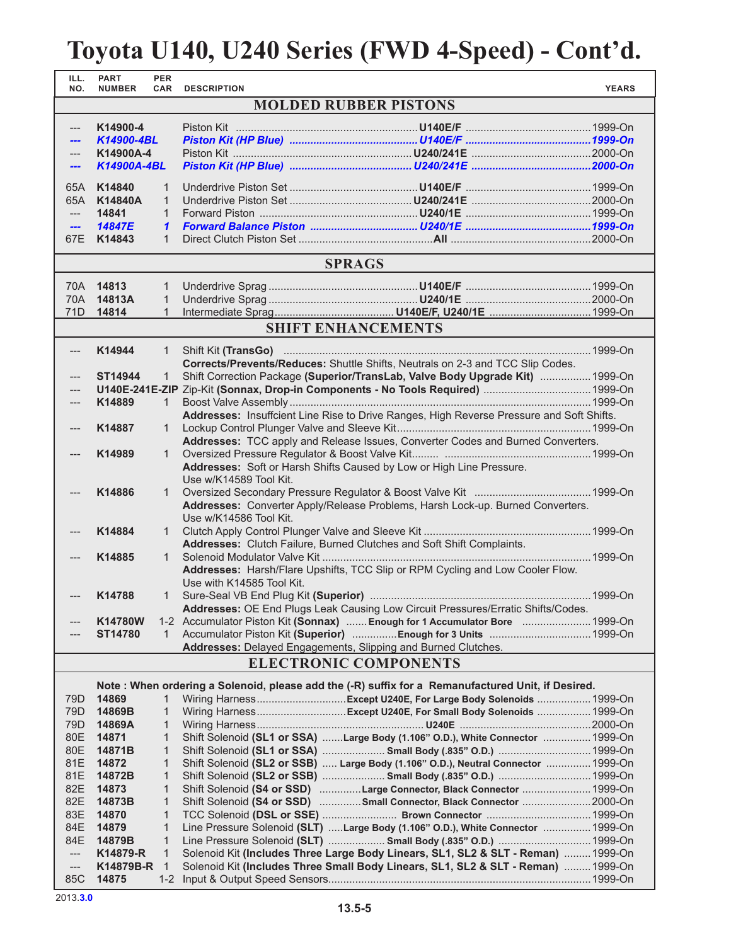#### **Toyota U140, U240 Series (FWD 4-Speed) - Cont'd.**

| ILL.<br>NO.                  | <b>PART</b><br><b>NUMBER</b> | <b>PER</b><br><b>CAR</b>     | <b>DESCRIPTION</b>                                                               |                                                                                                                                                                        | <b>YEARS</b> |
|------------------------------|------------------------------|------------------------------|----------------------------------------------------------------------------------|------------------------------------------------------------------------------------------------------------------------------------------------------------------------|--------------|
| <b>MOLDED RUBBER PISTONS</b> |                              |                              |                                                                                  |                                                                                                                                                                        |              |
| ---                          | K14900-4                     |                              |                                                                                  |                                                                                                                                                                        |              |
|                              | K14900-4BL                   |                              |                                                                                  |                                                                                                                                                                        |              |
| ---                          | K14900A-4                    |                              |                                                                                  |                                                                                                                                                                        |              |
| ---                          | K14900A-4BL                  |                              |                                                                                  |                                                                                                                                                                        |              |
| 65A                          | K14840                       | $\mathbf{1}$                 |                                                                                  |                                                                                                                                                                        |              |
| 65A                          | K14840A                      | $\mathbf{1}$                 |                                                                                  |                                                                                                                                                                        |              |
| $---$                        | 14841                        | $\mathbf{1}$                 |                                                                                  |                                                                                                                                                                        |              |
| ---                          | 14847E                       | 1                            |                                                                                  |                                                                                                                                                                        |              |
| 67E                          | K14843                       | $\mathbf{1}$                 |                                                                                  |                                                                                                                                                                        |              |
|                              |                              |                              |                                                                                  | <b>SPRAGS</b>                                                                                                                                                          |              |
| 70A .                        | 14813                        | 1                            |                                                                                  |                                                                                                                                                                        |              |
| 70A                          | 14813A                       | $\mathbf{1}$                 |                                                                                  |                                                                                                                                                                        |              |
| 71D                          | 14814                        | $\mathbf{1}$                 |                                                                                  |                                                                                                                                                                        |              |
|                              |                              |                              |                                                                                  | <b>SHIFT ENHANCEMENTS</b>                                                                                                                                              |              |
| ---                          | K14944                       | 1                            |                                                                                  |                                                                                                                                                                        |              |
|                              |                              |                              |                                                                                  | Corrects/Prevents/Reduces: Shuttle Shifts, Neutrals on 2-3 and TCC Slip Codes.                                                                                         |              |
|                              | ST14944                      | $\mathbf{1}$                 |                                                                                  | Shift Correction Package (Superior/TransLab, Valve Body Upgrade Kit)  1999-On                                                                                          |              |
|                              |                              |                              |                                                                                  | U140E-241E-ZIP Zip-Kit (Sonnax, Drop-in Components - No Tools Required)  1999-On                                                                                       |              |
|                              | K14889                       | $\mathbf{1}$                 |                                                                                  |                                                                                                                                                                        |              |
|                              | K14887                       |                              |                                                                                  | Addresses: Insuffcient Line Rise to Drive Ranges, High Reverse Pressure and Soft Shifts.                                                                               |              |
| ---                          |                              | $\mathbf{1}$                 |                                                                                  | Addresses: TCC apply and Release Issues, Converter Codes and Burned Converters.                                                                                        |              |
|                              | K14989                       | $\mathbf{1}$                 |                                                                                  |                                                                                                                                                                        |              |
|                              |                              |                              |                                                                                  | Addresses: Soft or Harsh Shifts Caused by Low or High Line Pressure.                                                                                                   |              |
|                              |                              |                              | Use w/K14589 Tool Kit.                                                           |                                                                                                                                                                        |              |
| ---                          | K14886                       | $\mathbf{1}$                 |                                                                                  |                                                                                                                                                                        |              |
|                              |                              |                              | Addresses: Converter Apply/Release Problems, Harsh Lock-up. Burned Converters.   |                                                                                                                                                                        |              |
|                              |                              |                              | Use w/K14586 Tool Kit.                                                           |                                                                                                                                                                        |              |
|                              | K14884                       | $\mathbf{1}$                 |                                                                                  |                                                                                                                                                                        |              |
|                              |                              |                              |                                                                                  | Addresses: Clutch Failure, Burned Clutches and Soft Shift Complaints.                                                                                                  |              |
| ---                          | K14885                       | $\mathbf{1}$                 | Addresses: Harsh/Flare Upshifts, TCC Slip or RPM Cycling and Low Cooler Flow.    |                                                                                                                                                                        |              |
|                              |                              |                              | Use with K14585 Tool Kit.                                                        |                                                                                                                                                                        |              |
|                              | K14788                       | 1                            |                                                                                  |                                                                                                                                                                        |              |
|                              |                              |                              | Addresses: OE End Plugs Leak Causing Low Circuit Pressures/Erratic Shifts/Codes. |                                                                                                                                                                        |              |
| ---                          | <b>K14780W</b>               |                              |                                                                                  | 1-2 Accumulator Piston Kit (Sonnax)  Enough for 1 Accumulator Bore  1999-On                                                                                            |              |
|                              | <b>ST14780</b>               | 1                            |                                                                                  | Accumulator Piston Kit (Superior) Enough for 3 Units  1999-On                                                                                                          |              |
|                              |                              |                              | Addresses: Delayed Engagements, Slipping and Burned Clutches.                    |                                                                                                                                                                        |              |
|                              |                              |                              |                                                                                  | <b>ELECTRONIC COMPONENTS</b>                                                                                                                                           |              |
|                              |                              |                              |                                                                                  | Note: When ordering a Solenoid, please add the (-R) suffix for a Remanufactured Unit, if Desired.                                                                      |              |
| 79D.                         | 14869                        | 1<br>$\mathbf{1}$            |                                                                                  | Wiring HarnessExcept U240E, For Large Body Solenoids  1999-On                                                                                                          |              |
| 79D<br>79D                   | 14869B<br>14869A             | $\mathbf{1}$                 |                                                                                  | Wiring HarnessExcept U240E, For Small Body Solenoids  1999-On                                                                                                          |              |
| 80E                          | 14871                        | $\mathbf{1}$                 |                                                                                  | Shift Solenoid (SL1 or SSA) Large Body (1.106" O.D.), White Connector  1999-On                                                                                         |              |
| 80E                          | 14871B                       | 1                            |                                                                                  | Shift Solenoid (SL1 or SSA)  Small Body (.835" O.D.) 1999-On                                                                                                           |              |
| 81E                          | 14872                        | $\mathbf{1}$                 |                                                                                  | Shift Solenoid (SL2 or SSB)  Large Body (1.106" O.D.), Neutral Connector  1999-On                                                                                      |              |
| 81E                          | 14872B                       | $\mathbf{1}$                 |                                                                                  |                                                                                                                                                                        |              |
| 82E                          | 14873                        | $\mathbf{1}$                 |                                                                                  | Shift Solenoid (S4 or SSD) Large Connector, Black Connector  1999-On                                                                                                   |              |
| 82E                          | 14873B                       | 1                            |                                                                                  | Shift Solenoid (S4 or SSD) Small Connector, Black Connector 2000-On                                                                                                    |              |
| 83E                          | 14870                        | $\mathbf{1}$                 |                                                                                  | TCC Solenoid (DSL or SSE)  Brown Connector 1999-On                                                                                                                     |              |
| 84E                          | 14879                        | $\mathbf{1}$                 |                                                                                  | Line Pressure Solenoid (SLT) Large Body (1.106" O.D.), White Connector  1999-On                                                                                        |              |
| 84E                          | 14879B                       | $\mathbf{1}$                 |                                                                                  | Line Pressure Solenoid (SLT)  Small Body (.835" O.D.)  1999-On                                                                                                         |              |
| ---                          | K14879-R<br>K14879B-R        | $\mathbf{1}$<br>$\mathbf{1}$ |                                                                                  | Solenoid Kit (Includes Three Large Body Linears, SL1, SL2 & SLT - Reman)  1999-On<br>Solenoid Kit (Includes Three Small Body Linears, SL1, SL2 & SLT - Reman)  1999-On |              |
| ---<br>85C                   | 14875                        | $1 - 2$                      |                                                                                  |                                                                                                                                                                        |              |
|                              |                              |                              |                                                                                  |                                                                                                                                                                        |              |